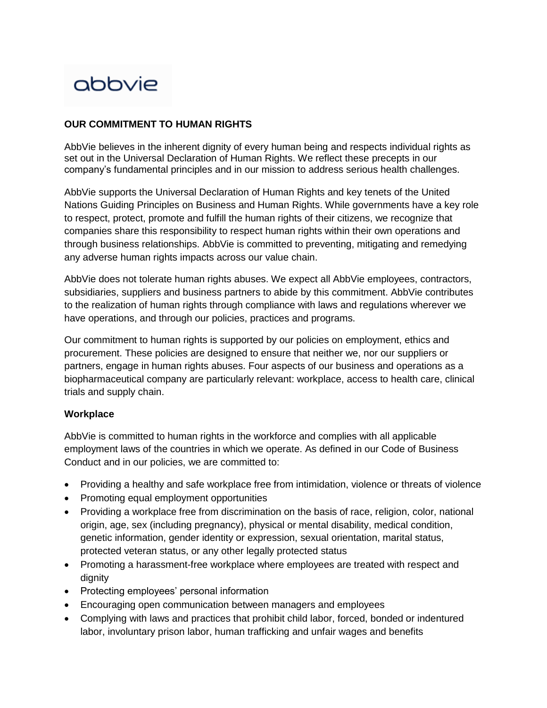# abbvie

### **OUR COMMITMENT TO HUMAN RIGHTS**

AbbVie believes in the inherent dignity of every human being and respects individual rights as set out in the Universal Declaration of Human Rights. We reflect these precepts in our company's fundamental principles and in our mission to address serious health challenges.

AbbVie supports the Universal Declaration of Human Rights and key tenets of the United Nations Guiding Principles on Business and Human Rights. While governments have a key role to respect, protect, promote and fulfill the human rights of their citizens, we recognize that companies share this responsibility to respect human rights within their own operations and through business relationships. AbbVie is committed to preventing, mitigating and remedying any adverse human rights impacts across our value chain.

AbbVie does not tolerate human rights abuses. We expect all AbbVie employees, contractors, subsidiaries, suppliers and business partners to abide by this commitment. AbbVie contributes to the realization of human rights through compliance with laws and regulations wherever we have operations, and through our policies, practices and programs.

Our commitment to human rights is supported by our policies on employment, ethics and procurement. These policies are designed to ensure that neither we, nor our suppliers or partners, engage in human rights abuses. Four aspects of our business and operations as a biopharmaceutical company are particularly relevant: workplace, access to health care, clinical trials and supply chain.

#### **Workplace**

AbbVie is committed to human rights in the workforce and complies with all applicable employment laws of the countries in which we operate. As defined in our [Code of Business](https://www.abbvie.com/content/dam/abbvie-dotcom/uploads/PDFs/COBC/cobc_English.pdf)  [Conduct](https://www.abbvie.com/content/dam/abbvie-dotcom/uploads/PDFs/COBC/cobc_English.pdf) and in our policies, we are committed to:

- Providing a healthy and safe workplace free from intimidation, violence or threats of violence
- Promoting equal employment opportunities
- Providing a workplace free from discrimination on the basis of race, religion, color, national origin, age, sex (including pregnancy), physical or mental disability, medical condition, genetic information, gender identity or expression, sexual orientation, marital status, protected veteran status, or any other legally protected status
- Promoting a harassment-free workplace where employees are treated with respect and dignity
- Protecting employees' personal information
- Encouraging open communication between managers and employees
- Complying with laws and practices that prohibit child labor, forced, bonded or indentured labor, involuntary prison labor, human trafficking and unfair wages and benefits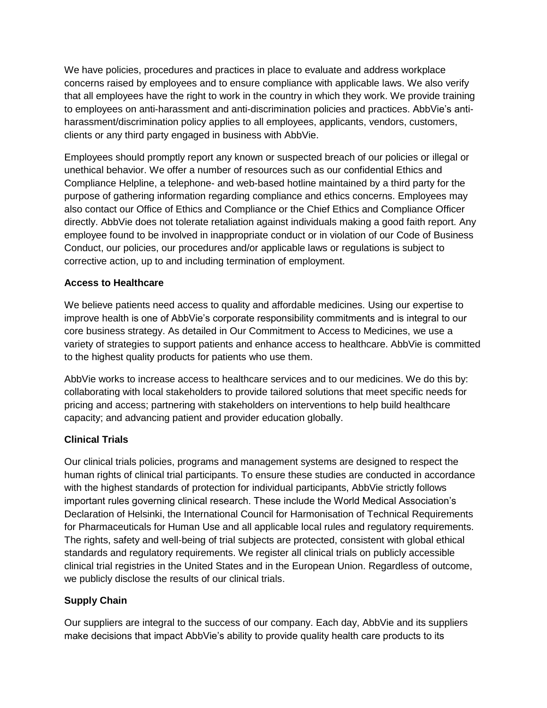We have policies, procedures and practices in place to evaluate and address workplace concerns raised by employees and to ensure compliance with applicable laws. We also verify that all employees have the right to work in the country in which they work. We provide training to employees on anti-harassment and anti-discrimination policies and practices. AbbVie's antiharassment/discrimination policy applies to all employees, applicants, vendors, customers, clients or any third party engaged in business with AbbVie.

Employees should promptly report any known or suspected breach of our policies or illegal or unethical behavior. We offer a number of resources such as our confidential Ethics and Compliance Helpline, a telephone- and web-based hotline maintained by a third party for the purpose of gathering information regarding compliance and ethics concerns. Employees may also contact our Office of Ethics and Compliance or the Chief Ethics and Compliance Officer directly. AbbVie does not tolerate retaliation against individuals making a good faith report. Any employee found to be involved in inappropriate conduct or in violation of our Code of Business Conduct, our policies, our procedures and/or applicable laws or regulations is subject to corrective action, up to and including termination of employment.

### **Access to Healthcare**

We believe patients need access to quality and affordable medicines. Using our expertise to improve health is one of AbbVie's corporate responsibility commitments and is integral to our core business strategy. As detailed in Our Commitment to Access to Medicines, we use a variety of strategies to support patients and enhance access to healthcare. AbbVie is committed to the highest quality products for patients who use them.

AbbVie works to increase access to healthcare services and to our medicines. We do this by: collaborating with local stakeholders to provide tailored solutions that meet specific needs for pricing and access; partnering with stakeholders on interventions to help build healthcare capacity; and advancing patient and provider education globally.

## **Clinical Trials**

Our clinical trials policies, programs and management systems are designed to respect the human rights of clinical trial participants. To ensure these studies are conducted in accordance with the highest standards of protection for individual participants, AbbVie strictly follows important rules governing clinical research. These include the World Medical Association's Declaration of Helsinki, the International Council for Harmonisation of Technical Requirements for Pharmaceuticals for Human Use and all applicable local rules and regulatory requirements. The rights, safety and well-being of trial subjects are protected, consistent with global ethical standards and regulatory requirements. We register all clinical trials on publicly accessible clinical trial registries in the United States and in the European Union. Regardless of outcome, we publicly disclose the results of our clinical trials.

## **Supply Chain**

Our suppliers are integral to the success of our company. Each day, AbbVie and its suppliers make decisions that impact AbbVie's ability to provide quality health care products to its